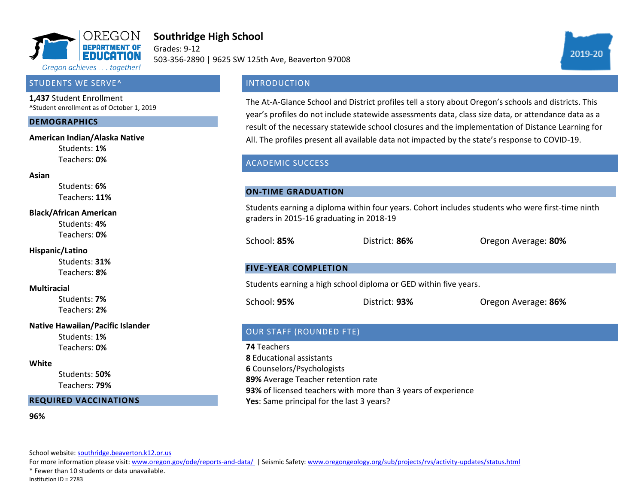

# **Southridge High School**

Grades: 9-12 503-356-2890 | 9625 SW 125th Ave, Beaverton 97008



#### STUDENTS WE SERVE^

**1,437** Student Enrollment ^Student enrollment as of October 1, 2019

#### **DEMOGRAPHICS**

#### **American Indian/Alaska Native**

Students: **1%** Teachers: **0%**

#### **Asian**

Students: **6%** Teachers: **11%**

#### **Black/African American**

Students: **4%** Teachers: **0%**

#### **Hispanic/Latino**

Students: **31%** Teachers: **8%**

#### **Multiracial**

Students: **7%** Teachers: **2%**

#### **Native Hawaiian/Pacific Islander**

Students: **1%** Teachers: **0%**

#### **White**

Students: **50%** Teachers: **79%**

#### **REQUIRED VACCINATIONS**

**96%**

School website[: southridge.beaverton.k12.or.us](southridge.beaverton.k12.or.us)

For more information please visit: [www.oregon.gov/ode/reports-and-data/ |](https://www.oregon.gov/ode/reports-and-data/Pages/default.aspx) Seismic Safety[: www.oregongeology.org/sub/projects/rvs/activity-updates/status.html](http://www.oregongeology.org/sub/projects/rvs/activity-updates/status.html)

\* Fewer than 10 students or data unavailable.

Institution ID = 2783

# **INTRODUCTION**

The At-A-Glance School and District profiles tell a story about Oregon's schools and districts. This year's profiles do not include statewide assessments data, class size data, or attendance data as a result of the necessary statewide school closures and the implementation of Distance Learning for All. The profiles present all available data not impacted by the state's response to COVID-19.

# ACADEMIC SUCCESS

#### **ON-TIME GRADUATION**

Students earning a diploma within four years. Cohort includes students who were first-time ninth graders in 2015-16 graduating in 2018-19

School: **85%** District: **86%** Oregon Average: **80%**

### **FIVE-YEAR COMPLETION**

Students earning a high school diploma or GED within five years.

School: **95%** District: **93%** Oregon Average: **86%**

# OUR STAFF (ROUNDED FTE)

**74** Teachers **8** Educational assistants **6** Counselors/Psychologists **89%** Average Teacher retention rate **93%** of licensed teachers with more than 3 years of experience **Yes**: Same principal for the last 3 years?